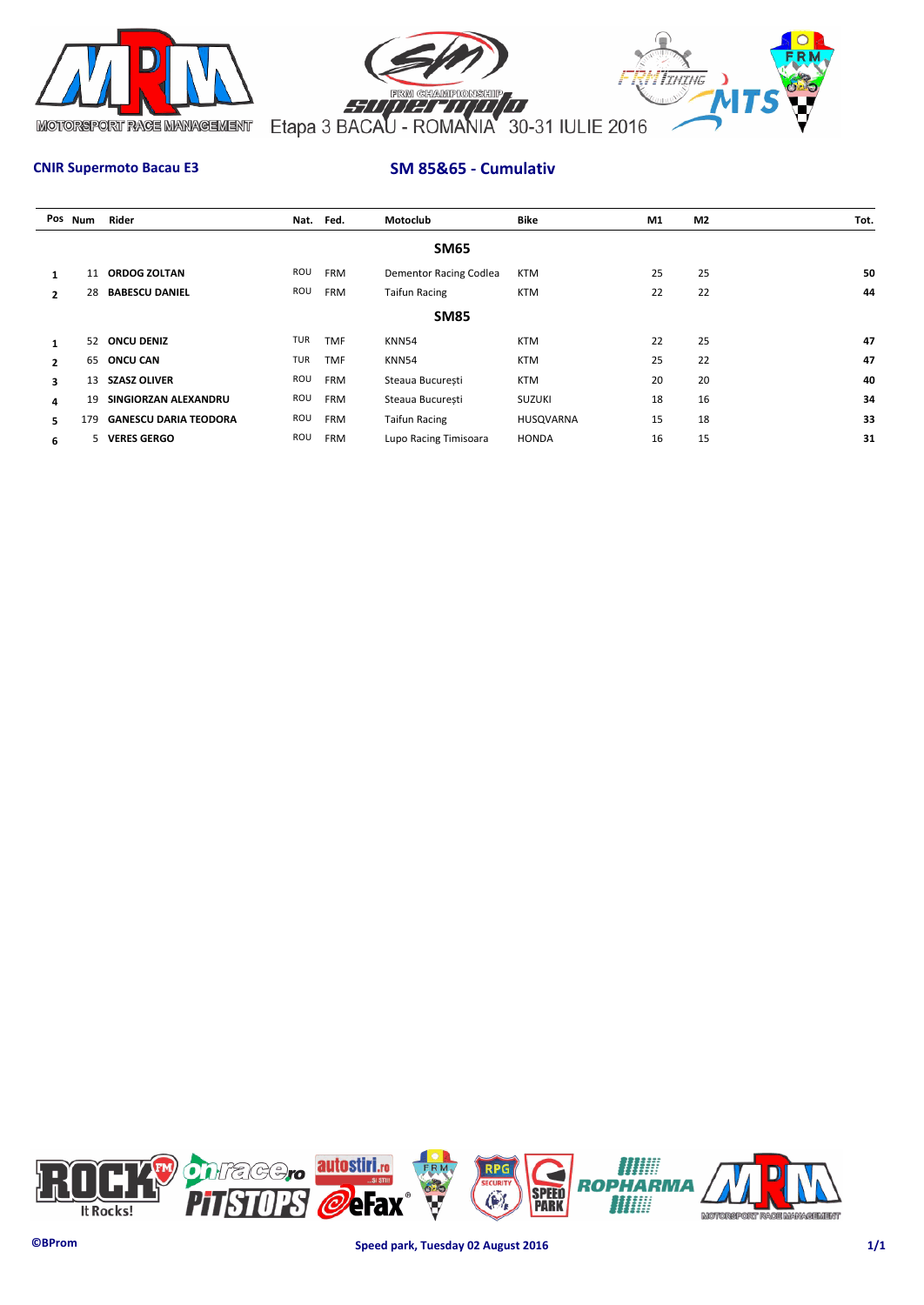



# **CNIR Supermoto Bacau E3 SM 85&65 - Cumulativ**

|                | Pos Num | Rider                        |     | Nat. Fed.  | Motoclub                      | Bike          | M1 | M <sub>2</sub> | Tot. |
|----------------|---------|------------------------------|-----|------------|-------------------------------|---------------|----|----------------|------|
|                |         |                              |     |            | <b>SM65</b>                   |               |    |                |      |
|                | 11      | <b>ORDOG ZOLTAN</b>          | ROU | <b>FRM</b> | <b>Dementor Racing Codlea</b> | KTM           | 25 | 25             | 50   |
| $\mathbf{2}$   | 28      | <b>BABESCU DANIEL</b>        | ROU | <b>FRM</b> | <b>Taifun Racing</b>          | <b>KTM</b>    | 22 | 22             | 44   |
|                |         |                              |     |            | <b>SM85</b>                   |               |    |                |      |
|                | 52      | <b>ONCU DENIZ</b>            | TUR | <b>TMF</b> | KNN54                         | <b>KTM</b>    | 22 | 25             | 47   |
| $\overline{2}$ |         | 65 ONCU CAN                  | TUR | <b>TMF</b> | <b>KNN54</b>                  | <b>KTM</b>    | 25 | 22             | 47   |
| 3              | 13      | <b>SZASZ OLIVER</b>          | ROU | <b>FRM</b> | Steaua București              | <b>KTM</b>    | 20 | 20             | 40   |
| 4              | 19      | SINGIORZAN ALEXANDRU         | ROU | <b>FRM</b> | Steaua Bucuresti              | <b>SUZUKI</b> | 18 | 16             | 34   |
| 5              | 179     | <b>GANESCU DARIA TEODORA</b> | ROU | <b>FRM</b> | <b>Taifun Racing</b>          | HUSQVARNA     | 15 | 18             | 33   |
| 6              | 5.      | <b>VERES GERGO</b>           | ROU | <b>FRM</b> | Lupo Racing Timisoara         | <b>HONDA</b>  | 16 | 15             | 31   |

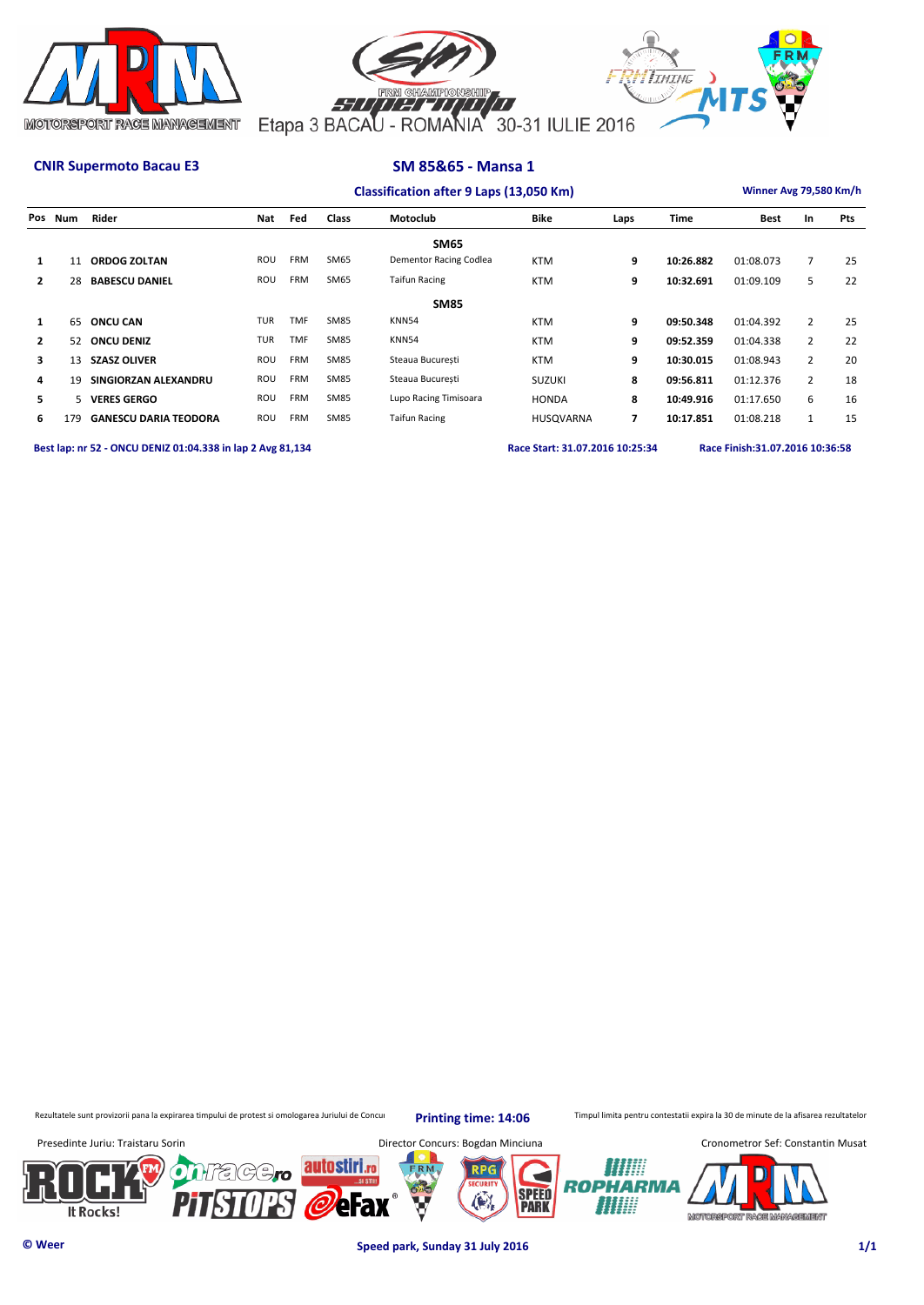



| Classification after 9 Laps (13,050 Km) |                                                                                                                                   |                              |            |            |             |                        |               |                |           |             | Winner Avg 79,580 Km/h |     |  |  |
|-----------------------------------------|-----------------------------------------------------------------------------------------------------------------------------------|------------------------------|------------|------------|-------------|------------------------|---------------|----------------|-----------|-------------|------------------------|-----|--|--|
|                                         | Pos Num                                                                                                                           | Rider                        | Nat        | Fed        | Class       | Motoclub               | <b>Bike</b>   | Laps           | Time      | <b>Best</b> | In                     | Pts |  |  |
|                                         |                                                                                                                                   |                              |            |            |             | <b>SM65</b>            |               |                |           |             |                        |     |  |  |
| $\mathbf{1}$                            | 11                                                                                                                                | <b>ORDOG ZOLTAN</b>          | ROU        | <b>FRM</b> | <b>SM65</b> | Dementor Racing Codlea | <b>KTM</b>    | 9              | 10:26.882 | 01:08.073   | $\overline{7}$         | 25  |  |  |
| $\overline{2}$                          | 28                                                                                                                                | <b>BABESCU DANIEL</b>        | ROU        | <b>FRM</b> | <b>SM65</b> | <b>Taifun Racing</b>   | <b>KTM</b>    | 9              | 10:32.691 | 01:09.109   | 5                      | 22  |  |  |
|                                         |                                                                                                                                   |                              |            |            |             | <b>SM85</b>            |               |                |           |             |                        |     |  |  |
| $\mathbf{1}$                            | 65                                                                                                                                | <b>ONCU CAN</b>              | <b>TUR</b> | <b>TMF</b> | <b>SM85</b> | <b>KNN54</b>           | <b>KTM</b>    | 9              | 09:50.348 | 01:04.392   | $\overline{2}$         | 25  |  |  |
| $\overline{2}$                          | 52                                                                                                                                | <b>ONCU DENIZ</b>            | <b>TUR</b> | <b>TMF</b> | <b>SM85</b> | KNN54                  | <b>KTM</b>    | 9              | 09:52.359 | 01:04.338   | $\overline{2}$         | 22  |  |  |
| 3                                       | 13                                                                                                                                | <b>SZASZ OLIVER</b>          | ROU        | <b>FRM</b> | <b>SM85</b> | Steaua Bucuresti       | <b>KTM</b>    | 9              | 10:30.015 | 01:08.943   | $\overline{2}$         | 20  |  |  |
| 4                                       | 19                                                                                                                                | SINGIORZAN ALEXANDRU         | ROU        | <b>FRM</b> | <b>SM85</b> | Steaua Bucuresti       | <b>SUZUKI</b> | 8              | 09:56.811 | 01:12.376   | $\overline{2}$         | 18  |  |  |
| 5                                       | 5.                                                                                                                                | <b>VERES GERGO</b>           | ROU        | <b>FRM</b> | <b>SM85</b> | Lupo Racing Timisoara  | <b>HONDA</b>  | 8              | 10:49.916 | 01:17.650   | 6                      | 16  |  |  |
| 6                                       | 179                                                                                                                               | <b>GANESCU DARIA TEODORA</b> | ROU        | <b>FRM</b> | <b>SM85</b> | <b>Taifun Racing</b>   | HUSQVARNA     | $\overline{ }$ | 10:17.851 | 01:08.218   | $\mathbf{1}$           | 15  |  |  |
|                                         | Best lap: nr 52 - ONCU DENIZ 01:04.338 in lap 2 Avg 81,134<br>Race Finish: 31.07.2016 10:36:58<br>Race Start: 31.07.2016 10:25:34 |                              |            |            |             |                        |               |                |           |             |                        |     |  |  |

Rezultatele sunt provizorii pana la expirarea timpului de protest si omologarea Juriului de Concurs Printing time: 14:06 Timpul limita pentru contestatii expira la 30 de minute de la afisarea rezultatelor

**Printing time: 14:06**



**© Weer Speed park, Sunday 31 July 2016 1/1**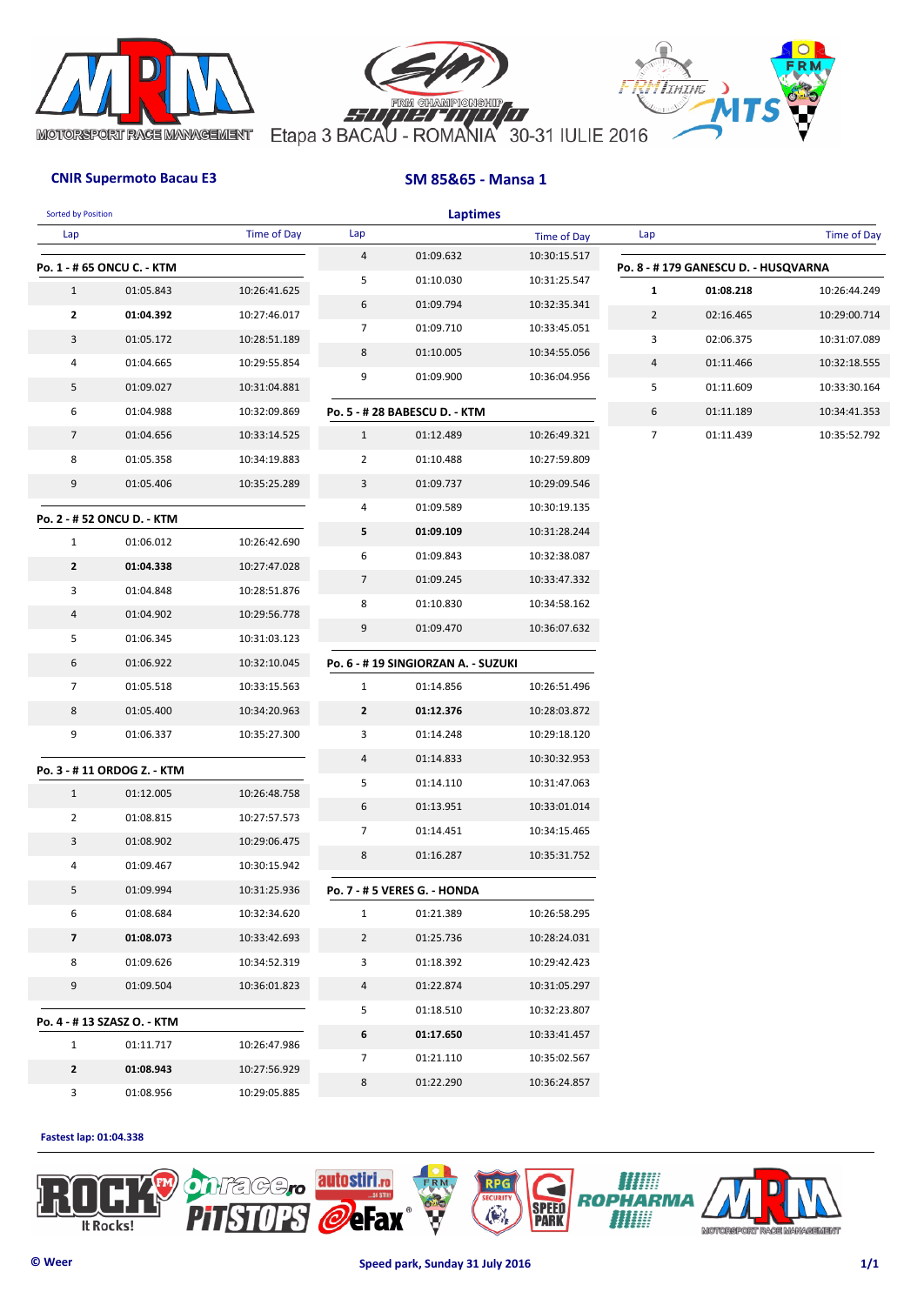





| <b>Sorted by Position</b> |                             |                    |                | <b>Laptimes</b>                     |              |                |                                     |                    |
|---------------------------|-----------------------------|--------------------|----------------|-------------------------------------|--------------|----------------|-------------------------------------|--------------------|
| Lap                       |                             | <b>Time of Day</b> | Lap            |                                     | Time of Day  | Lap            |                                     | <b>Time of Day</b> |
|                           | Po. 1 - # 65 ONCU C. - KTM  |                    | $\overline{a}$ | 01:09.632                           | 10:30:15.517 |                | Po. 8 - #179 GANESCU D. - HUSQVARNA |                    |
| $\mathbf{1}$              | 01:05.843                   | 10:26:41.625       | 5              | 01:10.030                           | 10:31:25.547 | 1              | 01:08.218                           | 10:26:44.249       |
| $\mathbf{2}$              | 01:04.392                   | 10:27:46.017       | 6              | 01:09.794                           | 10:32:35.341 | $\overline{2}$ | 02:16.465                           | 10:29:00.714       |
| 3                         | 01:05.172                   | 10:28:51.189       | $\overline{7}$ | 01:09.710                           | 10:33:45.051 | 3              | 02:06.375                           | 10:31:07.089       |
| 4                         | 01:04.665                   | 10:29:55.854       | 8              | 01:10.005                           | 10:34:55.056 | 4              | 01:11.466                           | 10:32:18.555       |
| 5                         | 01:09.027                   | 10:31:04.881       | 9              | 01:09.900                           | 10:36:04.956 | 5              | 01:11.609                           | 10:33:30.164       |
| 6                         | 01:04.988                   | 10:32:09.869       |                | Po. 5 - # 28 BABESCU D. - KTM       |              | 6              | 01:11.189                           | 10:34:41.353       |
| $\overline{7}$            | 01:04.656                   | 10:33:14.525       | $\mathbf{1}$   | 01:12.489                           | 10:26:49.321 | 7              | 01:11.439                           | 10:35:52.792       |
| 8                         | 01:05.358                   | 10:34:19.883       | $\overline{2}$ | 01:10.488                           | 10:27:59.809 |                |                                     |                    |
| 9                         | 01:05.406                   | 10:35:25.289       | 3              | 01:09.737                           | 10:29:09.546 |                |                                     |                    |
|                           |                             |                    | 4              | 01:09.589                           | 10:30:19.135 |                |                                     |                    |
|                           | Po. 2 - # 52 ONCU D. - KTM  |                    | 5              | 01:09.109                           | 10:31:28.244 |                |                                     |                    |
| $\mathbf{1}$              | 01:06.012                   | 10:26:42.690       | 6              | 01:09.843                           | 10:32:38.087 |                |                                     |                    |
| $\mathbf{2}$              | 01:04.338                   | 10:27:47.028       | $\overline{7}$ | 01:09.245                           | 10:33:47.332 |                |                                     |                    |
| 3                         | 01:04.848                   | 10:28:51.876       | 8              | 01:10.830                           | 10:34:58.162 |                |                                     |                    |
| 4                         | 01:04.902                   | 10:29:56.778       | 9              | 01:09.470                           | 10:36:07.632 |                |                                     |                    |
| 5                         | 01:06.345                   | 10:31:03.123       |                |                                     |              |                |                                     |                    |
| 6                         | 01:06.922                   | 10:32:10.045       |                | Po. 6 - # 19 SINGIORZAN A. - SUZUKI |              |                |                                     |                    |
| 7                         | 01:05.518                   | 10:33:15.563       | $\mathbf{1}$   | 01:14.856                           | 10:26:51.496 |                |                                     |                    |
| 8                         | 01:05.400                   | 10:34:20.963       | $\mathbf{2}$   | 01:12.376                           | 10:28:03.872 |                |                                     |                    |
| 9                         | 01:06.337                   | 10:35:27.300       | 3              | 01:14.248                           | 10:29:18.120 |                |                                     |                    |
|                           | Po. 3 - # 11 ORDOG Z. - KTM |                    | 4              | 01:14.833                           | 10:30:32.953 |                |                                     |                    |
| $\mathbf{1}$              | 01:12.005                   | 10:26:48.758       | 5              | 01:14.110                           | 10:31:47.063 |                |                                     |                    |
| $\overline{2}$            | 01:08.815                   | 10:27:57.573       | 6              | 01:13.951                           | 10:33:01.014 |                |                                     |                    |
| 3                         | 01:08.902                   | 10:29:06.475       | $\overline{7}$ | 01:14.451                           | 10:34:15.465 |                |                                     |                    |
| 4                         | 01:09.467                   | 10:30:15.942       | 8              | 01:16.287                           | 10:35:31.752 |                |                                     |                    |
| 5                         | 01:09.994                   | 10:31:25.936       |                | Po. 7 - # 5 VERES G. - HONDA        |              |                |                                     |                    |
| 6                         | 01:08.684                   | 10:32:34.620       | $\mathbf{1}$   | 01:21.389                           | 10:26:58.295 |                |                                     |                    |
| $\overline{\mathbf{z}}$   | 01:08.073                   | 10:33:42.693       | $\overline{2}$ | 01:25.736                           | 10:28:24.031 |                |                                     |                    |
| 8                         | 01:09.626                   | 10:34:52.319       | 3              | 01:18.392                           | 10:29:42.423 |                |                                     |                    |
| 9                         | 01:09.504                   | 10:36:01.823       | 4              | 01:22.874                           | 10:31:05.297 |                |                                     |                    |
|                           | Po. 4 - # 13 SZASZ O. - KTM |                    | 5              | 01:18.510                           | 10:32:23.807 |                |                                     |                    |
| $\mathbf{1}$              | 01:11.717                   | 10:26:47.986       | 6              | 01:17.650                           | 10:33:41.457 |                |                                     |                    |
| $\mathbf{2}$              | 01:08.943                   | 10:27:56.929       | 7              | 01:21.110                           | 10:35:02.567 |                |                                     |                    |
| $\mathbf{3}$              | 01:08.956                   | 10:29:05.885       | 8              | 01:22.290                           | 10:36:24.857 |                |                                     |                    |

### **Fastest lap: 01:04.338**

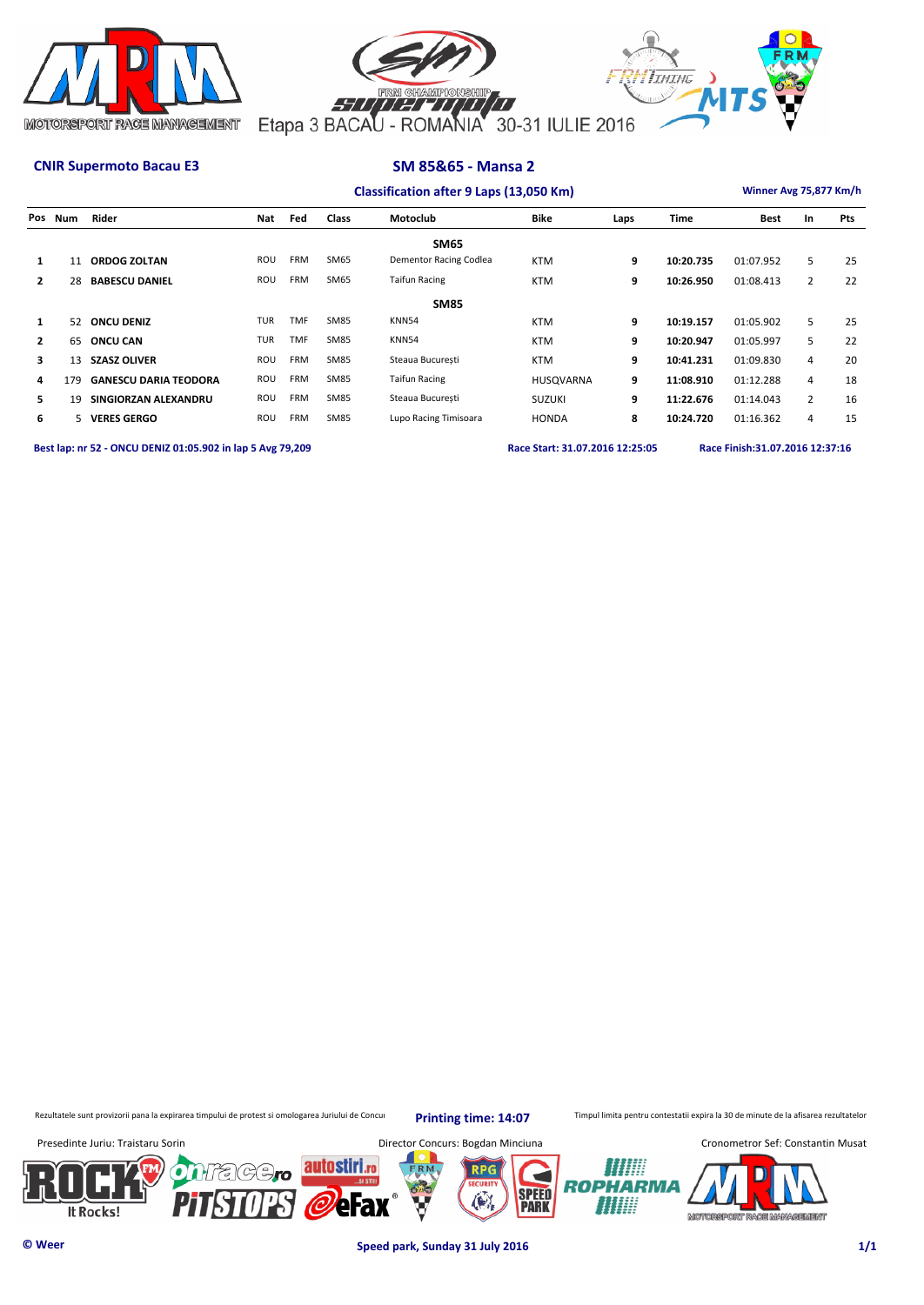



| Classification after 9 Laps (13,050 Km) | Winner Avg 75,877 Km/h |
|-----------------------------------------|------------------------|

|                | Pos Num | Rider                        | Nat        | Fed        | Class       | Motoclub               | <b>Bike</b>   | Laps | Time      | <b>Best</b> | In             | Pts |
|----------------|---------|------------------------------|------------|------------|-------------|------------------------|---------------|------|-----------|-------------|----------------|-----|
|                |         |                              |            |            |             | <b>SM65</b>            |               |      |           |             |                |     |
| $\mathbf{1}$   | 11      | <b>ORDOG ZOLTAN</b>          | ROU        | <b>FRM</b> | <b>SM65</b> | Dementor Racing Codlea | <b>KTM</b>    | 9    | 10:20.735 | 01:07.952   | 5              | 25  |
| $\overline{2}$ | 28      | <b>BABESCU DANIEL</b>        | ROU        | <b>FRM</b> | <b>SM65</b> | <b>Taifun Racing</b>   | <b>KTM</b>    | 9    | 10:26.950 | 01:08.413   | $\overline{2}$ | 22  |
| <b>SM85</b>    |         |                              |            |            |             |                        |               |      |           |             |                |     |
| $\mathbf{1}$   | 52      | <b>ONCU DENIZ</b>            | <b>TUR</b> | <b>TMF</b> | <b>SM85</b> | <b>KNN54</b>           | <b>KTM</b>    | 9    | 10:19.157 | 01:05.902   | 5              | 25  |
| $\mathbf{2}$   | 65      | <b>ONCU CAN</b>              | <b>TUR</b> | <b>TMF</b> | <b>SM85</b> | <b>KNN54</b>           | <b>KTM</b>    | 9    | 10:20.947 | 01:05.997   | 5              | 22  |
| з.             | 13      | <b>SZASZ OLIVER</b>          | ROU        | <b>FRM</b> | <b>SM85</b> | Steaua Bucuresti       | <b>KTM</b>    | 9    | 10:41.231 | 01:09.830   | 4              | 20  |
| 4              | 179     | <b>GANESCU DARIA TEODORA</b> | ROU        | <b>FRM</b> | <b>SM85</b> | <b>Taifun Racing</b>   | HUSQVARNA     | 9    | 11:08.910 | 01:12.288   | 4              | 18  |
| 5.             | 19      | SINGIORZAN ALEXANDRU         | ROU        | <b>FRM</b> | <b>SM85</b> | Steaua Bucuresti       | <b>SUZUKI</b> | 9    | 11:22.676 | 01:14.043   | $\overline{2}$ | 16  |
| 6              | 5.      | <b>VERES GERGO</b>           | ROU        | <b>FRM</b> | <b>SM85</b> | Lupo Racing Timisoara  | <b>HONDA</b>  | 8    | 10:24.720 | 01:16.362   | 4              | 15  |

**Best lap: nr 52 - ONCU DENIZ 01:05.902 in lap 5 Avg 79,209 Race Start: 31.07.2016 12:25:05 Race Finish:31.07.2016 12:37:16** 

Rezultatele sunt provizorii pana la expirarea timpului de protest si omologarea Juriului de Concurs Printing time: 14:07 Timpul limita pentru contestatii expira la 30 de minute de la afisarea rezultatelor

**Printing time: 14:07**



**© Weer Speed park, Sunday 31 July 2016 1/1**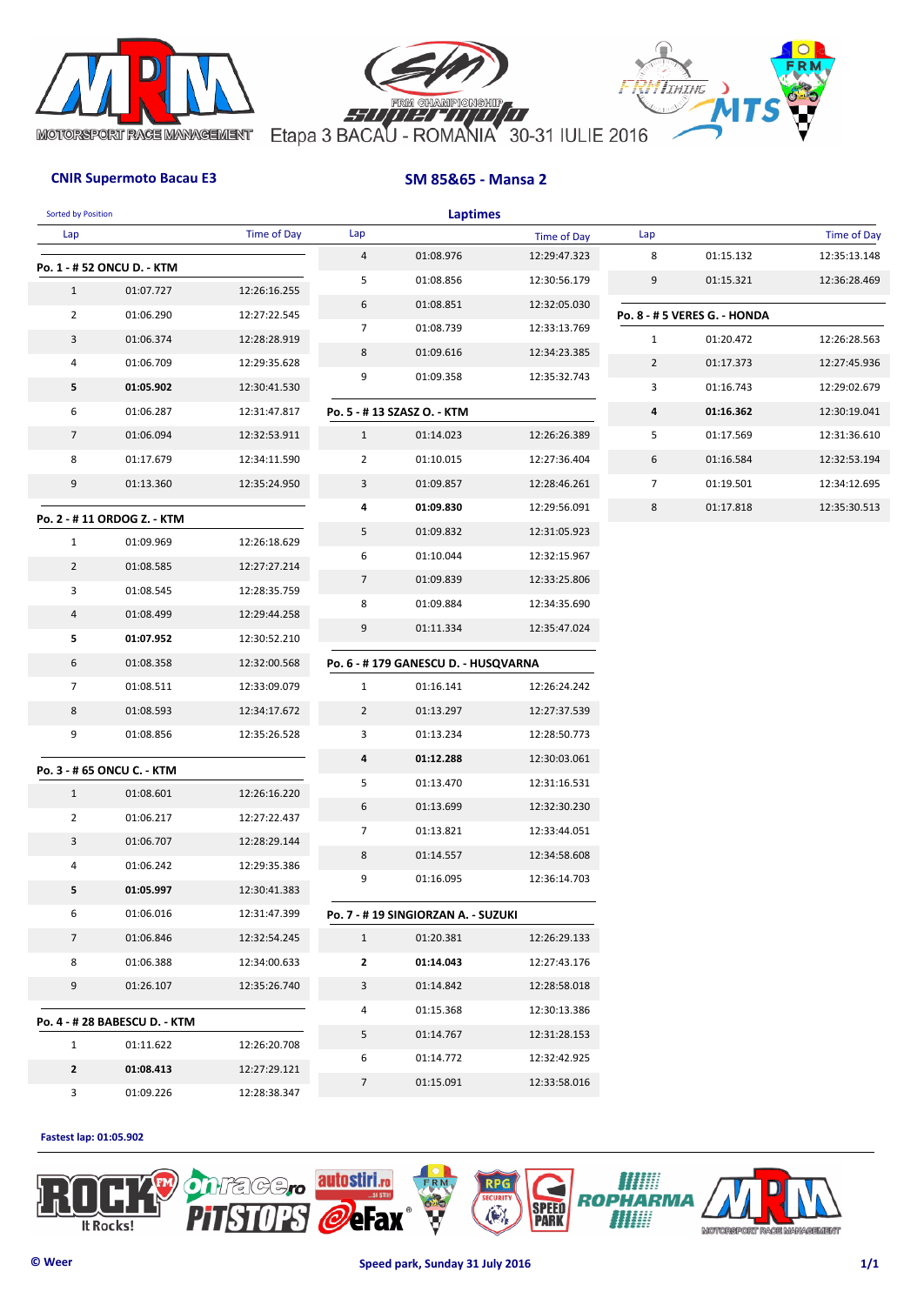





| <b>Sorted by Position</b> |                               |                    |                | <b>Laptimes</b>                     |                    |                |                              |                    |
|---------------------------|-------------------------------|--------------------|----------------|-------------------------------------|--------------------|----------------|------------------------------|--------------------|
| Lap                       |                               | <b>Time of Day</b> | Lap            |                                     | <b>Time of Day</b> | Lap            |                              | <b>Time of Day</b> |
|                           | Po. 1 - # 52 ONCU D. - KTM    |                    | 4              | 01:08.976                           | 12:29:47.323       | 8              | 01:15.132                    | 12:35:13.148       |
| $\mathbf{1}$              | 01:07.727                     | 12:26:16.255       | 5              | 01:08.856                           | 12:30:56.179       | 9              | 01:15.321                    | 12:36:28.469       |
| $\overline{2}$            | 01:06.290                     | 12:27:22.545       | 6              | 01:08.851                           | 12:32:05.030       |                | Po. 8 - # 5 VERES G. - HONDA |                    |
| 3                         | 01:06.374                     | 12:28:28.919       | 7              | 01:08.739                           | 12:33:13.769       | $\mathbf{1}$   | 01:20.472                    | 12:26:28.563       |
| 4                         | 01:06.709                     | 12:29:35.628       | 8              | 01:09.616                           | 12:34:23.385       | $\overline{2}$ | 01:17.373                    | 12:27:45.936       |
| 5                         | 01:05.902                     | 12:30:41.530       | 9              | 01:09.358                           | 12:35:32.743       | 3              | 01:16.743                    | 12:29:02.679       |
| 6                         | 01:06.287                     | 12:31:47.817       |                | Po. 5 - #13 SZASZ O. - KTM          |                    | 4              | 01:16.362                    | 12:30:19.041       |
| $\overline{7}$            | 01:06.094                     | 12:32:53.911       | $\mathbf{1}$   | 01:14.023                           | 12:26:26.389       | 5              | 01:17.569                    | 12:31:36.610       |
| 8                         | 01:17.679                     | 12:34:11.590       | $\overline{2}$ | 01:10.015                           | 12:27:36.404       | 6              | 01:16.584                    | 12:32:53.194       |
| 9                         | 01:13.360                     | 12:35:24.950       | 3              | 01:09.857                           | 12:28:46.261       | $\overline{7}$ | 01:19.501                    | 12:34:12.695       |
|                           |                               |                    | 4              | 01:09.830                           | 12:29:56.091       | 8              | 01:17.818                    | 12:35:30.513       |
|                           | Po. 2 - #11 ORDOG Z. - KTM    |                    | 5              | 01:09.832                           | 12:31:05.923       |                |                              |                    |
| $\mathbf{1}$              | 01:09.969                     | 12:26:18.629       | 6              | 01:10.044                           | 12:32:15.967       |                |                              |                    |
| $\overline{2}$            | 01:08.585                     | 12:27:27.214       | $\overline{7}$ | 01:09.839                           | 12:33:25.806       |                |                              |                    |
| 3                         | 01:08.545                     | 12:28:35.759       | 8              | 01:09.884                           | 12:34:35.690       |                |                              |                    |
| 4                         | 01:08.499                     | 12:29:44.258       | 9              | 01:11.334                           | 12:35:47.024       |                |                              |                    |
| 5                         | 01:07.952                     | 12:30:52.210       |                |                                     |                    |                |                              |                    |
| 6                         | 01:08.358                     | 12:32:00.568       |                | Po. 6 - #179 GANESCU D. - HUSQVARNA |                    |                |                              |                    |
| $\overline{7}$            | 01:08.511                     | 12:33:09.079       | $\mathbf{1}$   | 01:16.141                           | 12:26:24.242       |                |                              |                    |
| 8                         | 01:08.593                     | 12:34:17.672       | $\overline{2}$ | 01:13.297                           | 12:27:37.539       |                |                              |                    |
| 9                         | 01:08.856                     | 12:35:26.528       | 3              | 01:13.234                           | 12:28:50.773       |                |                              |                    |
|                           | Po. 3 - # 65 ONCU C. - KTM    |                    | 4              | 01:12.288                           | 12:30:03.061       |                |                              |                    |
| $\mathbf{1}$              | 01:08.601                     | 12:26:16.220       | 5              | 01:13.470                           | 12:31:16.531       |                |                              |                    |
| $\mathbf{2}$              | 01:06.217                     | 12:27:22.437       | 6              | 01:13.699                           | 12:32:30.230       |                |                              |                    |
| 3                         | 01:06.707                     | 12:28:29.144       | 7              | 01:13.821                           | 12:33:44.051       |                |                              |                    |
| 4                         | 01:06.242                     | 12:29:35.386       | 8              | 01:14.557                           | 12:34:58.608       |                |                              |                    |
| 5                         | 01:05.997                     | 12:30:41.383       | 9              | 01:16.095                           | 12:36:14.703       |                |                              |                    |
| 6                         | 01:06.016                     | 12:31:47.399       |                | Po. 7 - # 19 SINGIORZAN A. - SUZUKI |                    |                |                              |                    |
| $\overline{7}$            | 01:06.846                     | 12:32:54.245       | $\mathbf{1}$   | 01:20.381                           | 12:26:29.133       |                |                              |                    |
| 8                         | 01:06.388                     | 12:34:00.633       | 2              | 01:14.043                           | 12:27:43.176       |                |                              |                    |
| 9                         | 01:26.107                     | 12:35:26.740       | 3              | 01:14.842                           | 12:28:58.018       |                |                              |                    |
|                           |                               |                    | 4              | 01:15.368                           | 12:30:13.386       |                |                              |                    |
|                           | Po. 4 - # 28 BABESCU D. - KTM |                    | 5              | 01:14.767                           | 12:31:28.153       |                |                              |                    |
| $\mathbf{1}$              | 01:11.622                     | 12:26:20.708       | 6              | 01:14.772                           | 12:32:42.925       |                |                              |                    |
| $\mathbf{z}$              | 01:08.413                     | 12:27:29.121       | $\overline{7}$ | 01:15.091                           | 12:33:58.016       |                |                              |                    |
| 3                         | 01:09.226                     | 12:28:38.347       |                |                                     |                    |                |                              |                    |

**Fastest lap: 01:05.902** 

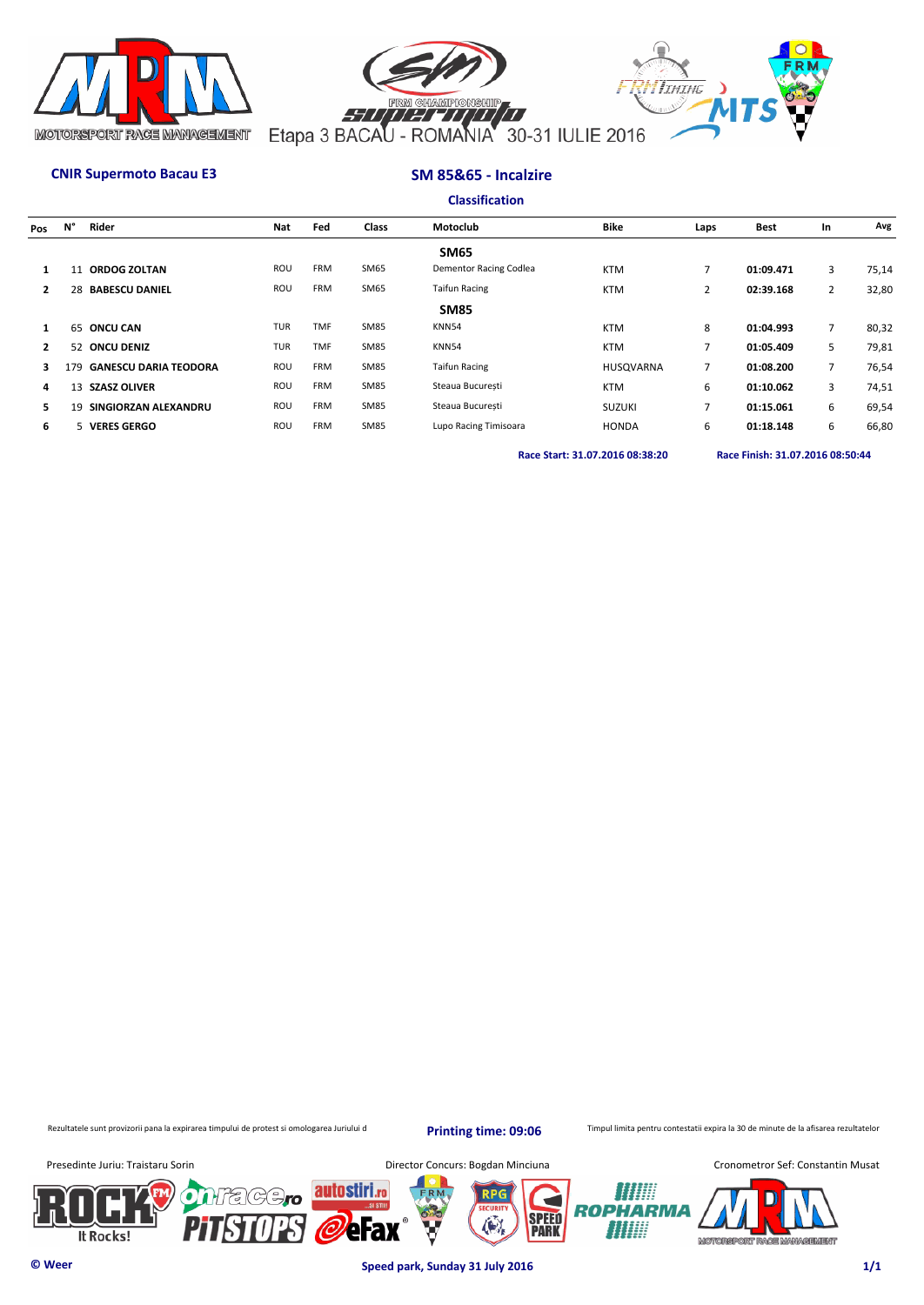



## **CNIR Supermoto Bacau E3 SM 85&65 - Incalzire**

| <b>Classification</b> |  |  |
|-----------------------|--|--|
|                       |  |  |

| Pos | N°  | Rider                        | <b>Nat</b> | Fed        | <b>Class</b> | Motoclub               | <b>Bike</b>      | Laps           | <b>Best</b> | In             | Avg   |
|-----|-----|------------------------------|------------|------------|--------------|------------------------|------------------|----------------|-------------|----------------|-------|
|     |     |                              |            |            |              | <b>SM65</b>            |                  |                |             |                |       |
|     |     | 11 ORDOG ZOLTAN              | ROU        | <b>FRM</b> | SM65         | Dementor Racing Codlea | <b>KTM</b>       | 7              | 01:09.471   | 3              | 75,14 |
|     | 28  | <b>BABESCU DANIEL</b>        | ROU        | <b>FRM</b> | SM65         | <b>Taifun Racing</b>   | <b>KTM</b>       | $\overline{2}$ | 02:39.168   | $\overline{2}$ | 32,80 |
|     |     |                              |            |            |              | <b>SM85</b>            |                  |                |             |                |       |
|     |     | 65 ONCU CAN                  | <b>TUR</b> | <b>TMF</b> | <b>SM85</b>  | KNN54                  | <b>KTM</b>       | 8              | 01:04.993   |                | 80,32 |
| 2   |     | 52 ONCU DENIZ                | <b>TUR</b> | <b>TMF</b> | <b>SM85</b>  | KNN54                  | <b>KTM</b>       | $\overline{7}$ | 01:05.409   | 5.             | 79,81 |
| 3   | 179 | <b>GANESCU DARIA TEODORA</b> | ROU        | <b>FRM</b> | <b>SM85</b>  | <b>Taifun Racing</b>   | <b>HUSOVARNA</b> | $\overline{7}$ | 01:08.200   |                | 76,54 |
| 4   |     | 13 SZASZ OLIVER              | ROU        | <b>FRM</b> | <b>SM85</b>  | Steaua Bucuresti       | <b>KTM</b>       | 6              | 01:10.062   | 3              | 74,51 |
| 5.  | 19  | SINGIORZAN ALEXANDRU         | ROU        | <b>FRM</b> | <b>SM85</b>  | Steaua Bucuresti       | <b>SUZUKI</b>    | $\overline{7}$ | 01:15.061   | 6              | 69,54 |
| 6   |     | 5 VERES GERGO                | ROU        | <b>FRM</b> | <b>SM85</b>  | Lupo Racing Timisoara  | <b>HONDA</b>     | 6              | 01:18.148   | 6              | 66,80 |
|     |     |                              |            |            |              |                        |                  |                |             |                |       |

**Race Start: 31.07.2016 08:38:20 Race Finish: 31.07.2016 08:50:44** 

Rezultatele sunt provizorii pana la expirarea timpului de protest si omologarea Juriului d

**Printing time: 09:06**

Timpul limita pentru contestatii expira la 30 de minute de la afisarea rezultatelor

It Rocks!



**© Weer Speed park, Sunday 31 July 2016 1/1**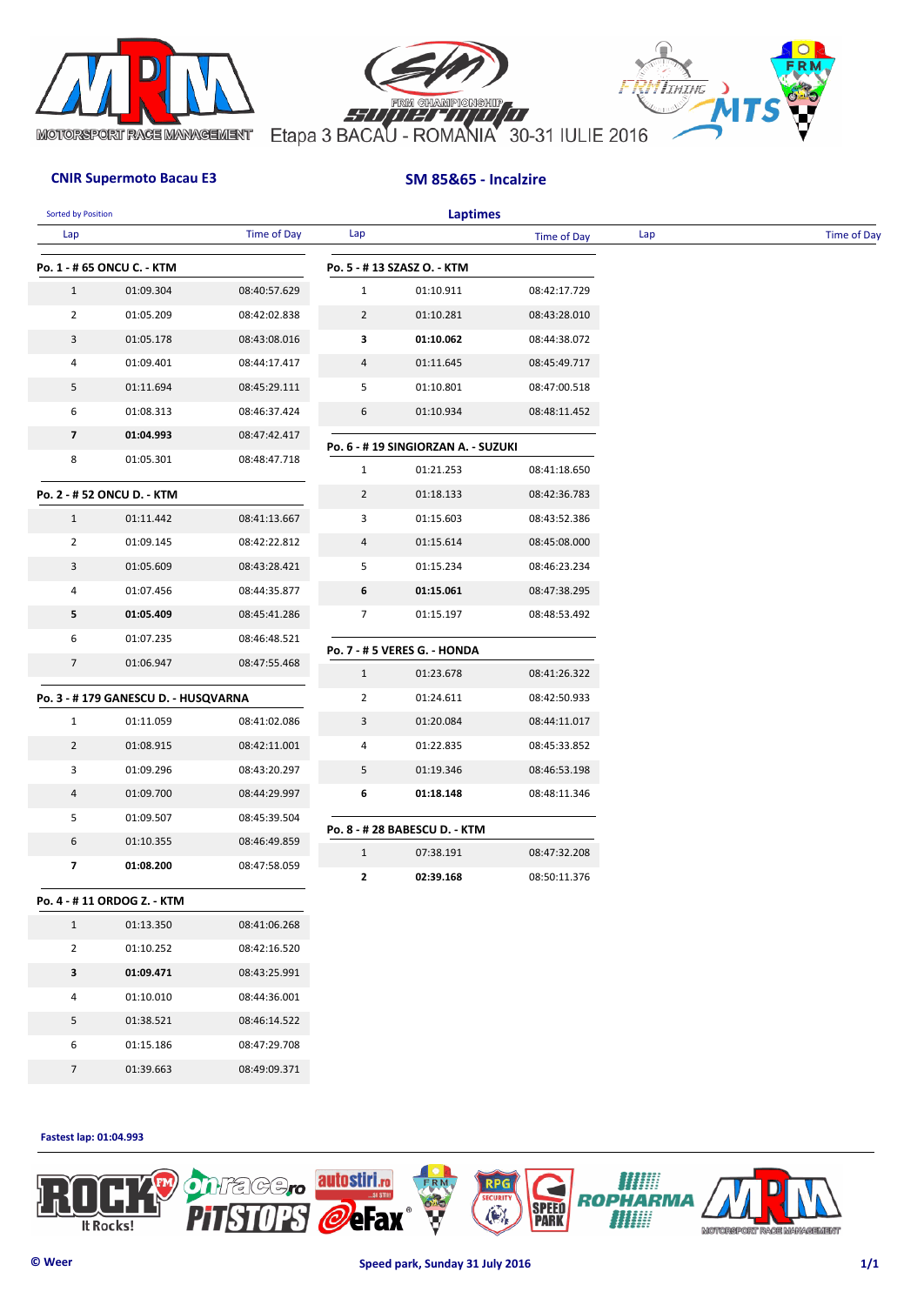





## **CNIR Supermoto Bacau E3 SM 85&65 - Incalzire**

| <b>Sorted by Position</b> |                                         |                    |                                | <b>Laptimes</b>                                  |                              |     |                    |
|---------------------------|-----------------------------------------|--------------------|--------------------------------|--------------------------------------------------|------------------------------|-----|--------------------|
| Lap                       |                                         | <b>Time of Day</b> | Lap                            |                                                  | Time of Day                  | Lap | <b>Time of Day</b> |
|                           | Po. 1 - # 65 ONCU C. - KTM              |                    |                                | Po. 5 - #13 SZASZ O. - KTM                       |                              |     |                    |
| $\mathbf{1}$              | 01:09.304                               | 08:40:57.629       | $\mathbf{1}$                   | 01:10.911                                        | 08:42:17.729                 |     |                    |
| $\overline{2}$            | 01:05.209                               | 08:42:02.838       | $\overline{2}$                 | 01:10.281                                        | 08:43:28.010                 |     |                    |
| 3                         | 01:05.178                               | 08:43:08.016       | 3                              | 01:10.062                                        | 08:44:38.072                 |     |                    |
| 4                         | 01:09.401                               | 08:44:17.417       | 4                              | 01:11.645                                        | 08:45:49.717                 |     |                    |
| 5                         | 01:11.694                               | 08:45:29.111       | 5                              | 01:10.801                                        | 08:47:00.518                 |     |                    |
| 6                         | 01:08.313                               | 08:46:37.424       | 6                              | 01:10.934                                        | 08:48:11.452                 |     |                    |
| $\overline{\mathbf{z}}$   | 01:04.993                               | 08:47:42.417       |                                |                                                  |                              |     |                    |
| 8                         | 01:05.301                               | 08:48:47.718       |                                | Po. 6 - # 19 SINGIORZAN A. - SUZUKI<br>01:21.253 |                              |     |                    |
|                           |                                         |                    | $\mathbf{1}$<br>$\overline{2}$ | 01:18.133                                        | 08:41:18.650<br>08:42:36.783 |     |                    |
| $\mathbf{1}$              | Po. 2 - # 52 ONCU D. - KTM<br>01:11.442 | 08:41:13.667       | 3                              | 01:15.603                                        | 08:43:52.386                 |     |                    |
| $\overline{2}$            | 01:09.145                               | 08:42:22.812       | 4                              | 01:15.614                                        | 08:45:08.000                 |     |                    |
| 3                         | 01:05.609                               | 08:43:28.421       | 5                              | 01:15.234                                        | 08:46:23.234                 |     |                    |
| 4                         | 01:07.456                               | 08:44:35.877       | 6                              | 01:15.061                                        | 08:47:38.295                 |     |                    |
| 5                         | 01:05.409                               | 08:45:41.286       | 7                              | 01:15.197                                        | 08:48:53.492                 |     |                    |
| 6                         | 01:07.235                               | 08:46:48.521       |                                |                                                  |                              |     |                    |
| $\overline{7}$            | 01:06.947                               | 08:47:55.468       |                                | Po. 7 - # 5 VERES G. - HONDA                     |                              |     |                    |
|                           |                                         |                    | $\mathbf{1}$                   | 01:23.678                                        | 08:41:26.322                 |     |                    |
|                           | Po. 3 - #179 GANESCU D. - HUSQVARNA     |                    | 2                              | 01:24.611                                        | 08:42:50.933                 |     |                    |
| $\mathbf{1}$              | 01:11.059                               | 08:41:02.086       | 3                              | 01:20.084                                        | 08:44:11.017                 |     |                    |
| $\overline{2}$            | 01:08.915                               | 08:42:11.001       | 4                              | 01:22.835                                        | 08:45:33.852                 |     |                    |
| 3                         | 01:09.296                               | 08:43:20.297       | 5                              | 01:19.346                                        | 08:46:53.198                 |     |                    |
| 4                         | 01:09.700                               | 08:44:29.997       | 6                              | 01:18.148                                        | 08:48:11.346                 |     |                    |
| 5                         | 01:09.507                               | 08:45:39.504       |                                | Po. 8 - # 28 BABESCU D. - KTM                    |                              |     |                    |
| 6                         | 01:10.355                               | 08:46:49.859       | $\mathbf{1}$                   | 07:38.191                                        | 08:47:32.208                 |     |                    |
| $\overline{\mathbf{z}}$   | 01:08.200                               | 08:47:58.059       | 2                              | 02:39.168                                        | 08:50:11.376                 |     |                    |
|                           | Po. 4 - #11 ORDOG Z. - KTM              |                    |                                |                                                  |                              |     |                    |
| $\mathbf{1}$              | 01:13.350                               | 08:41:06.268       |                                |                                                  |                              |     |                    |
| $\overline{2}$            | 01:10.252                               | 08:42:16.520       |                                |                                                  |                              |     |                    |
| 3                         | 01:09.471                               | 08:43:25.991       |                                |                                                  |                              |     |                    |
| 4                         | 01:10.010                               | 08:44:36.001       |                                |                                                  |                              |     |                    |
| 5                         | 01:38.521                               | 08:46:14.522       |                                |                                                  |                              |     |                    |
| 6                         | 01:15.186                               | 08:47:29.708       |                                |                                                  |                              |     |                    |
| $7\overline{ }$           | 01:39.663                               | 08:49:09.371       |                                |                                                  |                              |     |                    |

**Fastest lap: 01:04.993** 

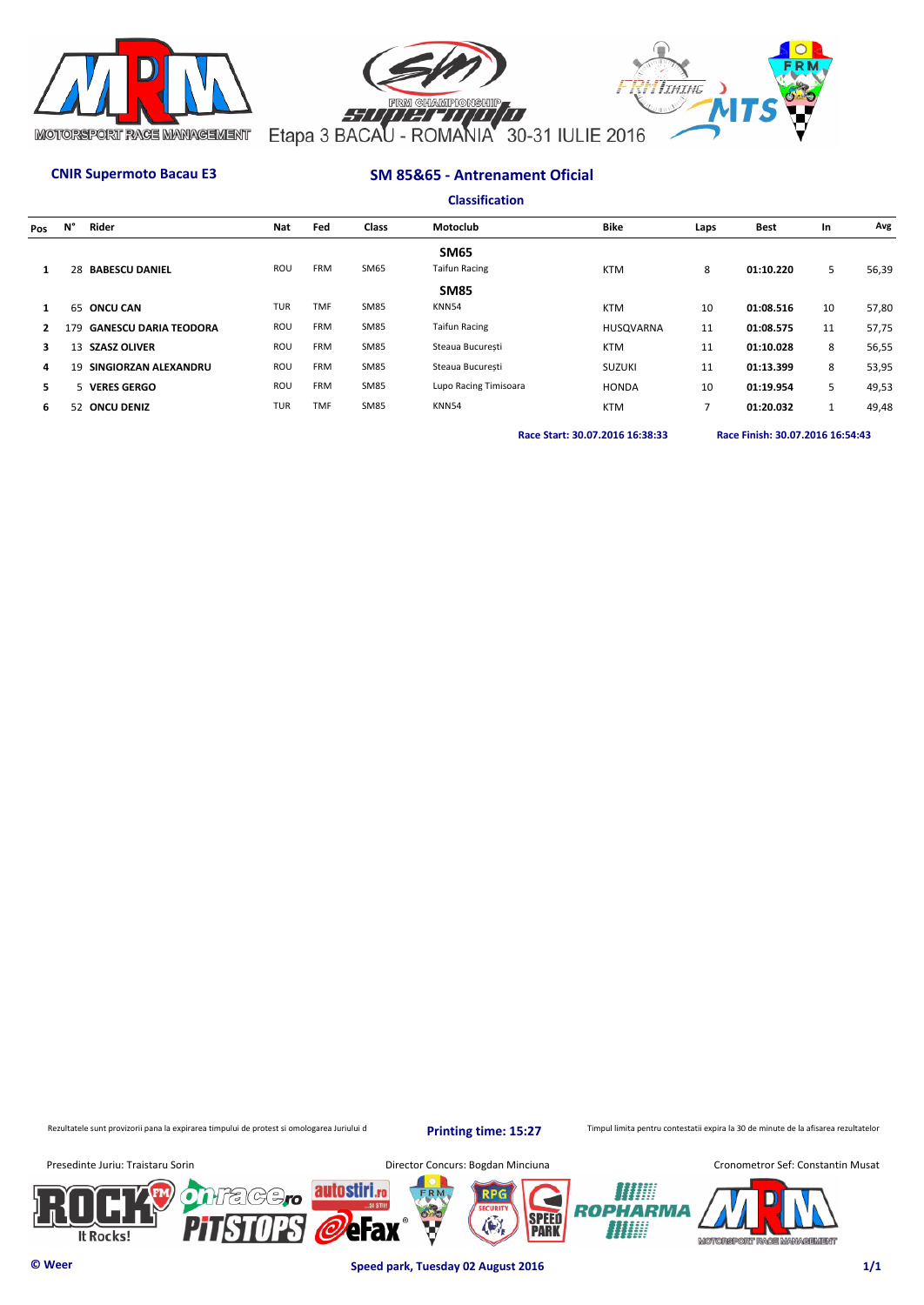



## **CNIR Supermoto Bacau E3 SM 85&65 - Antrenament Oficial**

|              |     |                              |            |            |              | <b>Classification</b> |                  |                |             |    |       |
|--------------|-----|------------------------------|------------|------------|--------------|-----------------------|------------------|----------------|-------------|----|-------|
| Pos          | N°  | Rider                        | Nat        | Fed        | <b>Class</b> | Motoclub              | <b>Bike</b>      | Laps           | <b>Best</b> | In | Avg   |
|              |     |                              |            |            |              | <b>SM65</b>           |                  |                |             |    |       |
| $\mathbf{1}$ |     | 28 BABESCU DANIEL            | ROU        | <b>FRM</b> | SM65         | <b>Taifun Racing</b>  | <b>KTM</b>       | 8              | 01:10.220   | 5  | 56,39 |
|              |     |                              |            |            |              | <b>SM85</b>           |                  |                |             |    |       |
| $\mathbf{1}$ |     | 65 ONCU CAN                  | <b>TUR</b> | <b>TMF</b> | <b>SM85</b>  | KNN54                 | <b>KTM</b>       | 10             | 01:08.516   | 10 | 57,80 |
| 2            | 179 | <b>GANESCU DARIA TEODORA</b> | ROU        | <b>FRM</b> | <b>SM85</b>  | <b>Taifun Racing</b>  | <b>HUSOVARNA</b> | 11             | 01:08.575   | 11 | 57,75 |
| 3            | 13  | <b>SZASZ OLIVER</b>          | ROU        | <b>FRM</b> | <b>SM85</b>  | Steaua Bucuresti      | <b>KTM</b>       | 11             | 01:10.028   | 8  | 56,55 |
| 4            | 19  | SINGIORZAN ALEXANDRU         | ROU        | <b>FRM</b> | <b>SM85</b>  | Steaua Bucuresti      | <b>SUZUKI</b>    | 11             | 01:13.399   | 8  | 53,95 |
| 5            |     | 5 VERES GERGO                | ROU        | <b>FRM</b> | <b>SM85</b>  | Lupo Racing Timisoara | <b>HONDA</b>     | 10             | 01:19.954   | 5  | 49,53 |
| 6            |     | 52 ONCU DENIZ                | <b>TUR</b> | <b>TMF</b> | <b>SM85</b>  | KNN54                 | <b>KTM</b>       | $\overline{7}$ | 01:20.032   | 1  | 49,48 |
|              |     |                              |            |            |              |                       |                  |                |             |    |       |

**Race Start: 30.07.2016 16:38:33 Race Finish: 30.07.2016 16:54:43** 

Rezultatele sunt provizorii pana la expirarea timpului de protest si omologarea Juriului d

**Printing time: 15:27**

Timpul limita pentru contestatii expira la 30 de minute de la afisarea rezultatelor



**© Weer Speed park, Tuesday 02 August 2016 1/1**